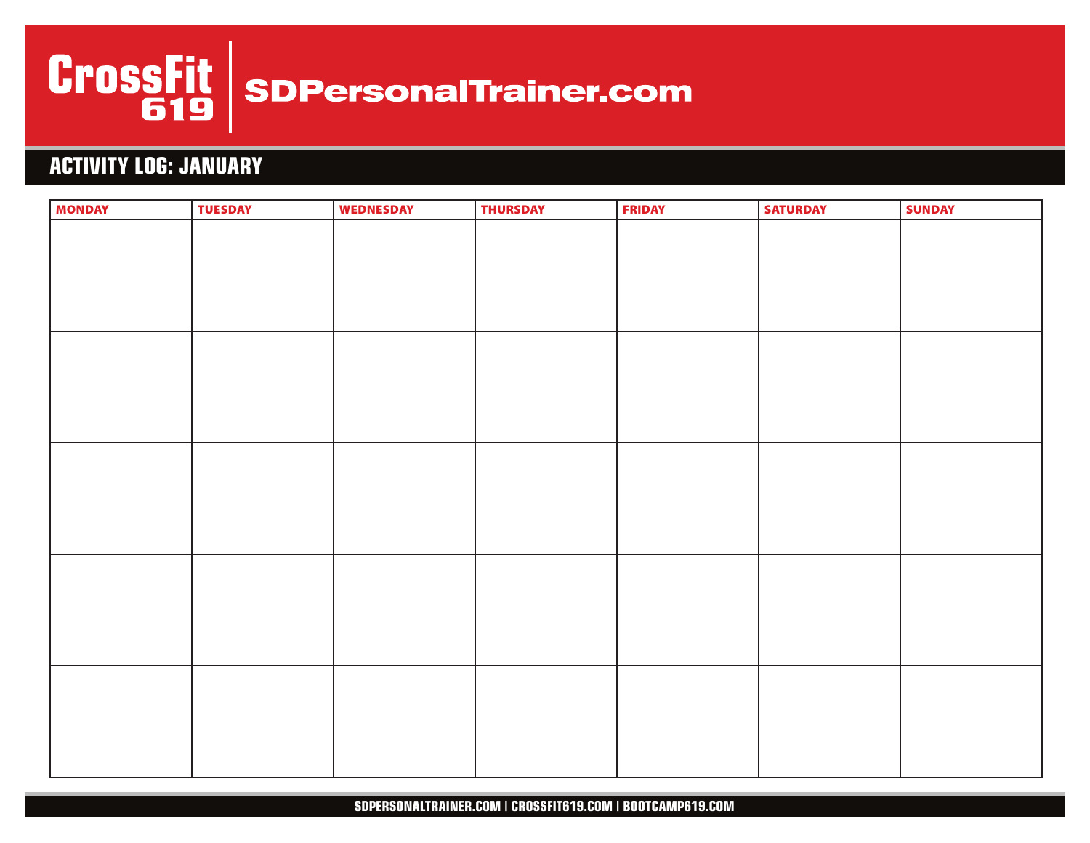

# **ACTIVITY LOG: JANUARY**

| <b>MONDAY</b> | <b>TUESDAY</b> | <b>WEDNESDAY</b> | <b>THURSDAY</b> | <b>FRIDAY</b> | <b>SATURDAY</b> | <b>SUNDAY</b> |
|---------------|----------------|------------------|-----------------|---------------|-----------------|---------------|
|               |                |                  |                 |               |                 |               |
|               |                |                  |                 |               |                 |               |
|               |                |                  |                 |               |                 |               |
|               |                |                  |                 |               |                 |               |
|               |                |                  |                 |               |                 |               |
|               |                |                  |                 |               |                 |               |
|               |                |                  |                 |               |                 |               |
|               |                |                  |                 |               |                 |               |
|               |                |                  |                 |               |                 |               |
|               |                |                  |                 |               |                 |               |
|               |                |                  |                 |               |                 |               |
|               |                |                  |                 |               |                 |               |
|               |                |                  |                 |               |                 |               |
|               |                |                  |                 |               |                 |               |
|               |                |                  |                 |               |                 |               |
|               |                |                  |                 |               |                 |               |
|               |                |                  |                 |               |                 |               |
|               |                |                  |                 |               |                 |               |
|               |                |                  |                 |               |                 |               |
|               |                |                  |                 |               |                 |               |
|               |                |                  |                 |               |                 |               |
|               |                |                  |                 |               |                 |               |
|               |                |                  |                 |               |                 |               |
|               |                |                  |                 |               |                 |               |
|               |                |                  |                 |               |                 |               |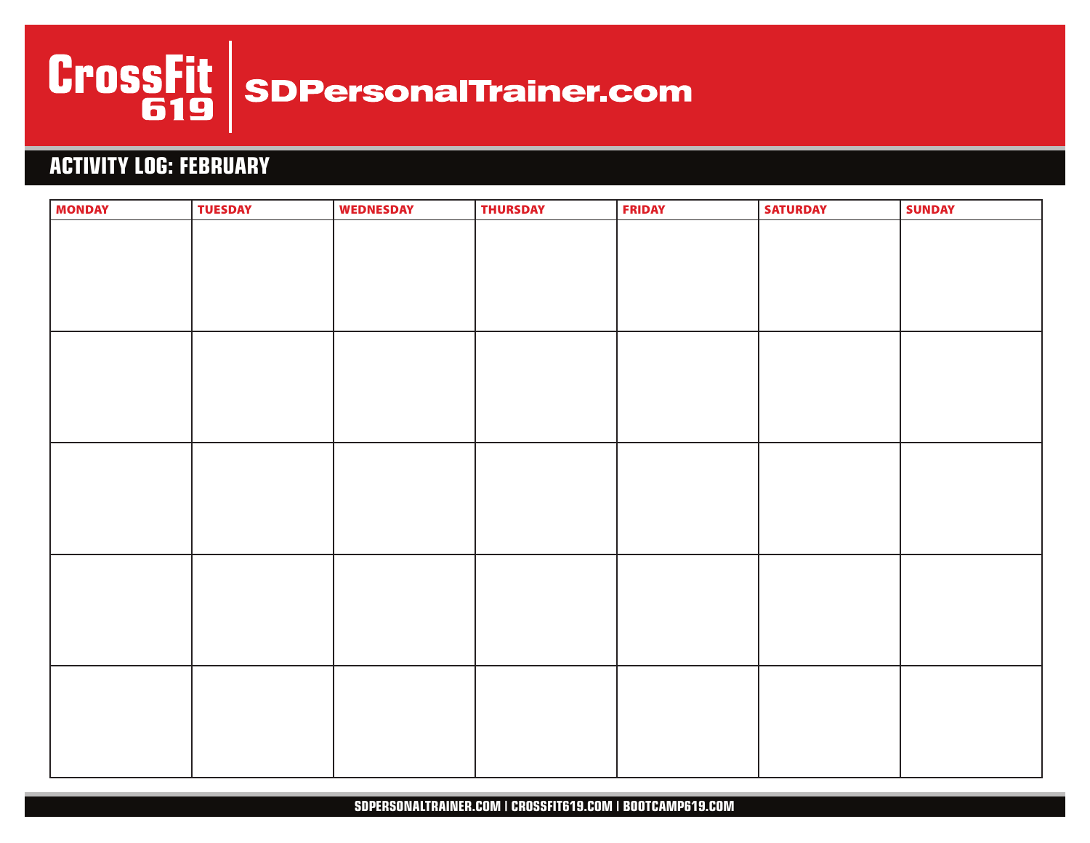

# **ACTIVITY LOG: FEBRUARY**

| <b>MONDAY</b> | <b>TUESDAY</b> | <b>WEDNESDAY</b> | <b>THURSDAY</b> | <b>FRIDAY</b> | <b>SATURDAY</b> | <b>SUNDAY</b> |
|---------------|----------------|------------------|-----------------|---------------|-----------------|---------------|
|               |                |                  |                 |               |                 |               |
|               |                |                  |                 |               |                 |               |
|               |                |                  |                 |               |                 |               |
|               |                |                  |                 |               |                 |               |
|               |                |                  |                 |               |                 |               |
|               |                |                  |                 |               |                 |               |
|               |                |                  |                 |               |                 |               |
|               |                |                  |                 |               |                 |               |
|               |                |                  |                 |               |                 |               |
|               |                |                  |                 |               |                 |               |
|               |                |                  |                 |               |                 |               |
|               |                |                  |                 |               |                 |               |
|               |                |                  |                 |               |                 |               |
|               |                |                  |                 |               |                 |               |
|               |                |                  |                 |               |                 |               |
|               |                |                  |                 |               |                 |               |
|               |                |                  |                 |               |                 |               |
|               |                |                  |                 |               |                 |               |
|               |                |                  |                 |               |                 |               |
|               |                |                  |                 |               |                 |               |
|               |                |                  |                 |               |                 |               |
|               |                |                  |                 |               |                 |               |
|               |                |                  |                 |               |                 |               |
|               |                |                  |                 |               |                 |               |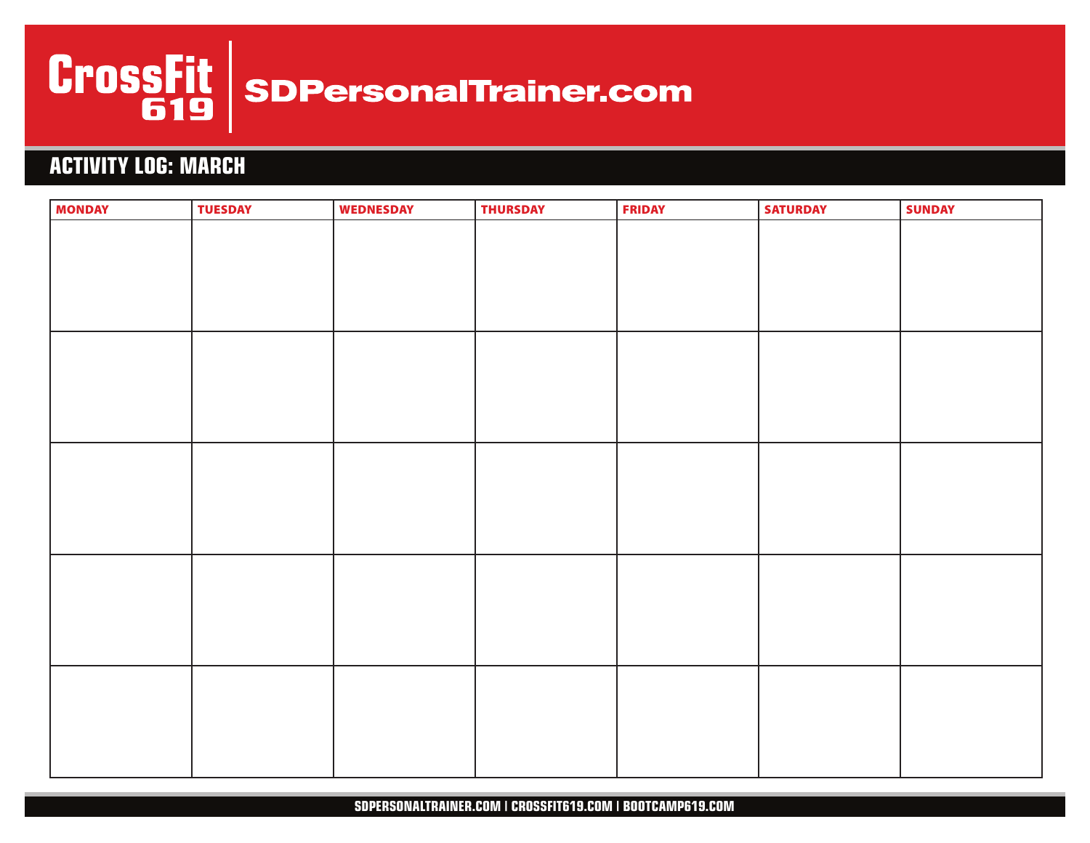

# **ACTIVITY LOG: MARCH**

| <b>MONDAY</b> | <b>TUESDAY</b> | <b>WEDNESDAY</b> | <b>THURSDAY</b> | <b>FRIDAY</b> | <b>SATURDAY</b> | <b>SUNDAY</b> |
|---------------|----------------|------------------|-----------------|---------------|-----------------|---------------|
|               |                |                  |                 |               |                 |               |
|               |                |                  |                 |               |                 |               |
|               |                |                  |                 |               |                 |               |
|               |                |                  |                 |               |                 |               |
|               |                |                  |                 |               |                 |               |
|               |                |                  |                 |               |                 |               |
|               |                |                  |                 |               |                 |               |
|               |                |                  |                 |               |                 |               |
|               |                |                  |                 |               |                 |               |
|               |                |                  |                 |               |                 |               |
|               |                |                  |                 |               |                 |               |
|               |                |                  |                 |               |                 |               |
|               |                |                  |                 |               |                 |               |
|               |                |                  |                 |               |                 |               |
|               |                |                  |                 |               |                 |               |
|               |                |                  |                 |               |                 |               |
|               |                |                  |                 |               |                 |               |
|               |                |                  |                 |               |                 |               |
|               |                |                  |                 |               |                 |               |
|               |                |                  |                 |               |                 |               |
|               |                |                  |                 |               |                 |               |
|               |                |                  |                 |               |                 |               |
|               |                |                  |                 |               |                 |               |
|               |                |                  |                 |               |                 |               |
|               |                |                  |                 |               |                 |               |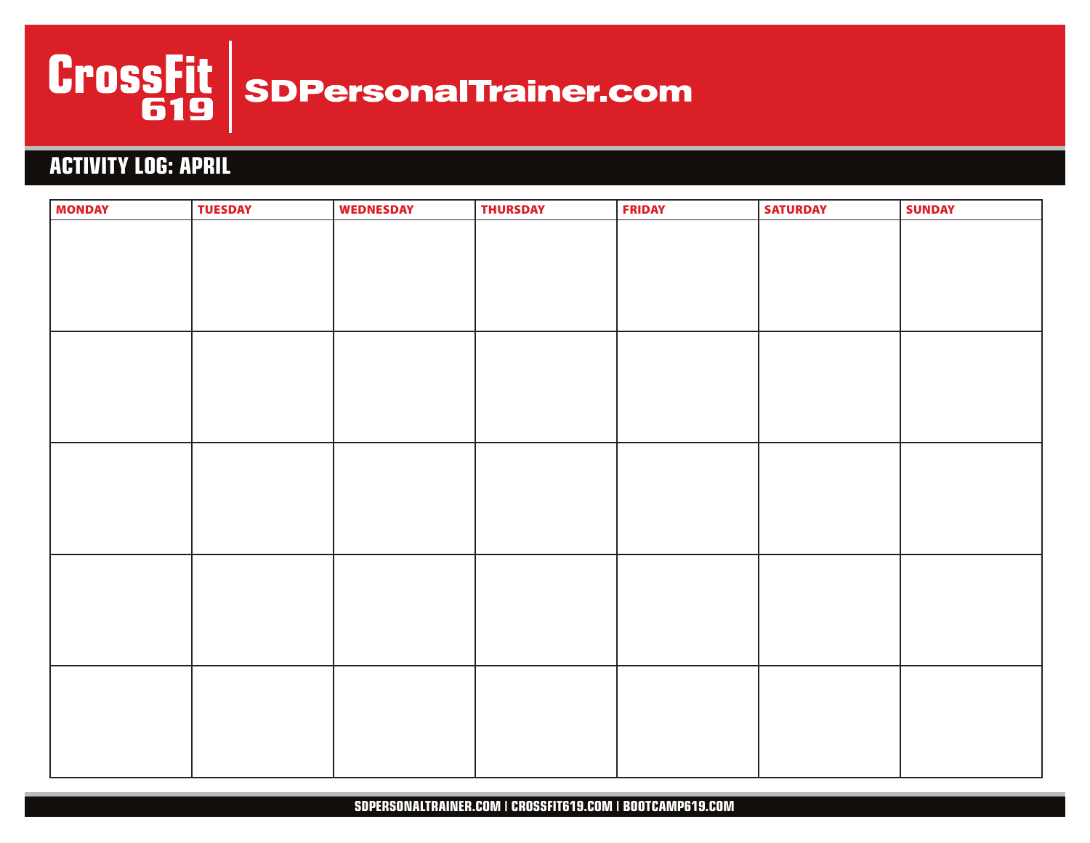

# **ACTIVITY LOG: APRIL**

| <b>MONDAY</b> | <b>TUESDAY</b> | <b>WEDNESDAY</b> | <b>THURSDAY</b> | <b>FRIDAY</b> | <b>SATURDAY</b> | <b>SUNDAY</b> |
|---------------|----------------|------------------|-----------------|---------------|-----------------|---------------|
|               |                |                  |                 |               |                 |               |
|               |                |                  |                 |               |                 |               |
|               |                |                  |                 |               |                 |               |
|               |                |                  |                 |               |                 |               |
|               |                |                  |                 |               |                 |               |
|               |                |                  |                 |               |                 |               |
|               |                |                  |                 |               |                 |               |
|               |                |                  |                 |               |                 |               |
|               |                |                  |                 |               |                 |               |
|               |                |                  |                 |               |                 |               |
|               |                |                  |                 |               |                 |               |
|               |                |                  |                 |               |                 |               |
|               |                |                  |                 |               |                 |               |
|               |                |                  |                 |               |                 |               |
|               |                |                  |                 |               |                 |               |
|               |                |                  |                 |               |                 |               |
|               |                |                  |                 |               |                 |               |
|               |                |                  |                 |               |                 |               |
|               |                |                  |                 |               |                 |               |
|               |                |                  |                 |               |                 |               |
|               |                |                  |                 |               |                 |               |
|               |                |                  |                 |               |                 |               |
|               |                |                  |                 |               |                 |               |
|               |                |                  |                 |               |                 |               |
|               |                |                  |                 |               |                 |               |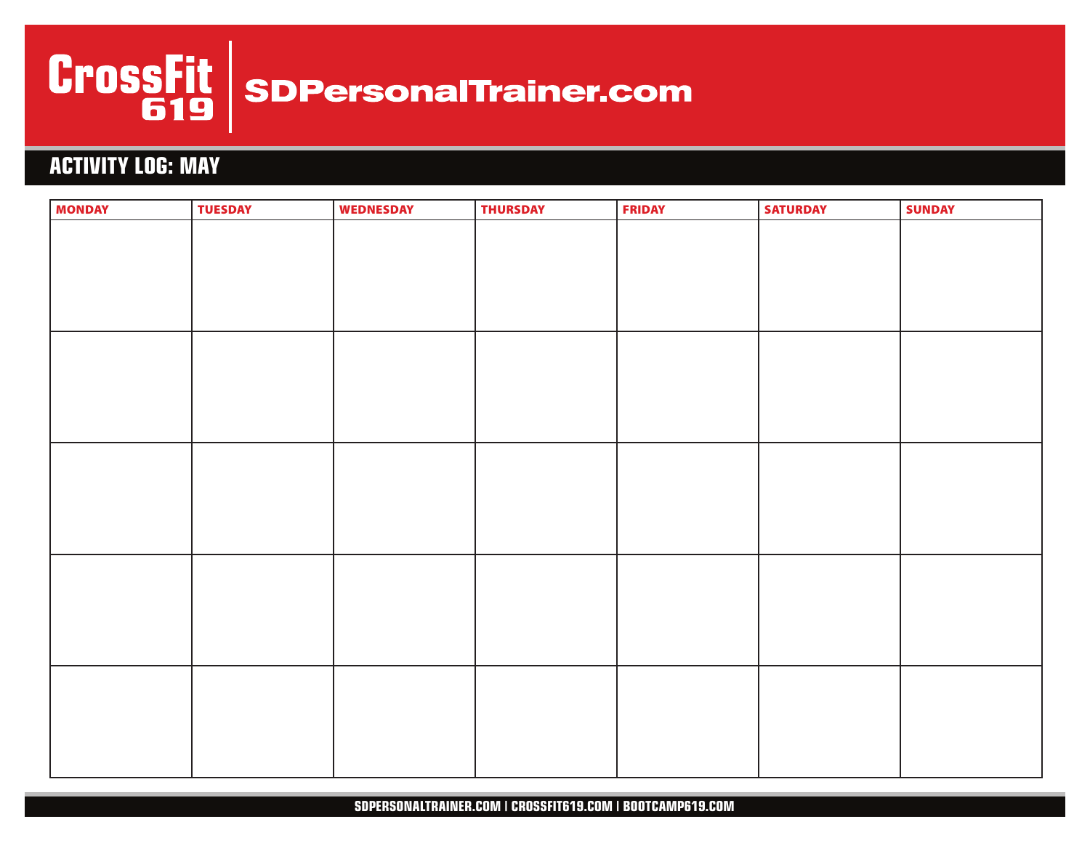

# **ACTIVITY LOG: MAY**

| <b>MONDAY</b> | <b>TUESDAY</b> | <b>WEDNESDAY</b> | <b>THURSDAY</b> | <b>FRIDAY</b> | <b>SATURDAY</b> | <b>SUNDAY</b> |
|---------------|----------------|------------------|-----------------|---------------|-----------------|---------------|
|               |                |                  |                 |               |                 |               |
|               |                |                  |                 |               |                 |               |
|               |                |                  |                 |               |                 |               |
|               |                |                  |                 |               |                 |               |
|               |                |                  |                 |               |                 |               |
|               |                |                  |                 |               |                 |               |
|               |                |                  |                 |               |                 |               |
|               |                |                  |                 |               |                 |               |
|               |                |                  |                 |               |                 |               |
|               |                |                  |                 |               |                 |               |
|               |                |                  |                 |               |                 |               |
|               |                |                  |                 |               |                 |               |
|               |                |                  |                 |               |                 |               |
|               |                |                  |                 |               |                 |               |
|               |                |                  |                 |               |                 |               |
|               |                |                  |                 |               |                 |               |
|               |                |                  |                 |               |                 |               |
|               |                |                  |                 |               |                 |               |
|               |                |                  |                 |               |                 |               |
|               |                |                  |                 |               |                 |               |
|               |                |                  |                 |               |                 |               |
|               |                |                  |                 |               |                 |               |
|               |                |                  |                 |               |                 |               |
|               |                |                  |                 |               |                 |               |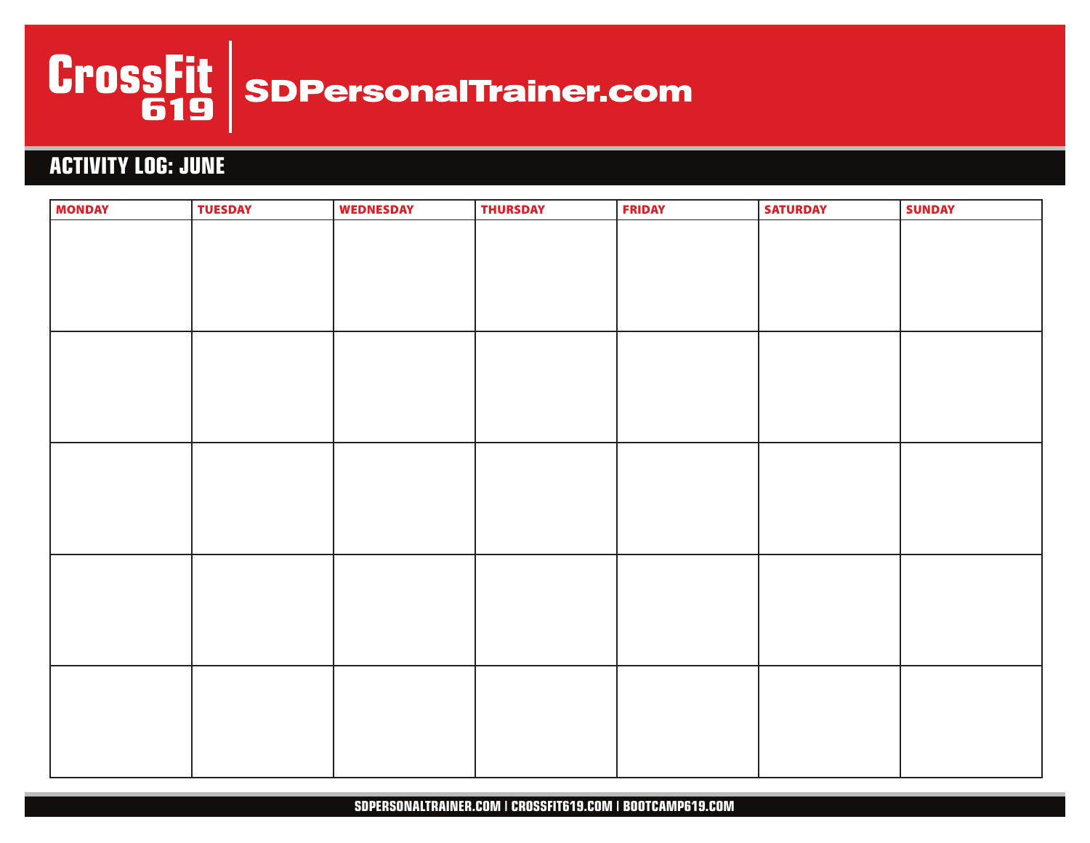

# **ACTIVITY LOG: JUNE**

| <b>MONDAY</b> | <b>TUESDAY</b> | <b>WEDNESDAY</b> | <b>THURSDAY</b> | <b>FRIDAY</b> | <b>SATURDAY</b> | <b>SUNDAY</b> |
|---------------|----------------|------------------|-----------------|---------------|-----------------|---------------|
|               |                |                  |                 |               |                 |               |
|               |                |                  |                 |               |                 |               |
|               |                |                  |                 |               |                 |               |
|               |                |                  |                 |               |                 |               |
|               |                |                  |                 |               |                 |               |
|               |                |                  |                 |               |                 |               |
|               |                |                  |                 |               |                 |               |
|               |                |                  |                 |               |                 |               |
|               |                |                  |                 |               |                 |               |
|               |                |                  |                 |               |                 |               |
|               |                |                  |                 |               |                 |               |
|               |                |                  |                 |               |                 |               |
|               |                |                  |                 |               |                 |               |
|               |                |                  |                 |               |                 |               |
|               |                |                  |                 |               |                 |               |
|               |                |                  |                 |               |                 |               |
|               |                |                  |                 |               |                 |               |
|               |                |                  |                 |               |                 |               |
|               |                |                  |                 |               |                 |               |
|               |                |                  |                 |               |                 |               |
|               |                |                  |                 |               |                 |               |
|               |                |                  |                 |               |                 |               |
|               |                |                  |                 |               |                 |               |
|               |                |                  |                 |               |                 |               |
|               |                |                  |                 |               |                 |               |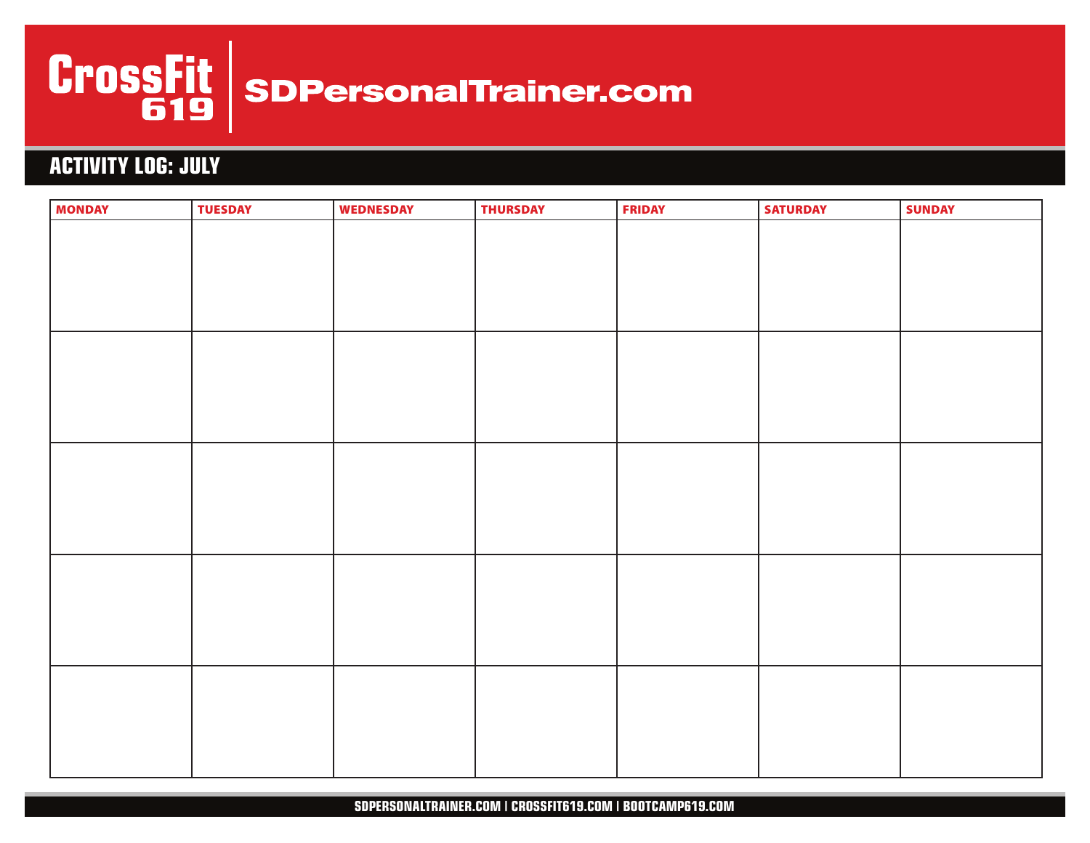

# **ACTIVITY LOG: JULY**

| <b>MONDAY</b> | <b>TUESDAY</b> | <b>WEDNESDAY</b> | <b>THURSDAY</b> | <b>FRIDAY</b> | <b>SATURDAY</b> | <b>SUNDAY</b> |
|---------------|----------------|------------------|-----------------|---------------|-----------------|---------------|
|               |                |                  |                 |               |                 |               |
|               |                |                  |                 |               |                 |               |
|               |                |                  |                 |               |                 |               |
|               |                |                  |                 |               |                 |               |
|               |                |                  |                 |               |                 |               |
|               |                |                  |                 |               |                 |               |
|               |                |                  |                 |               |                 |               |
|               |                |                  |                 |               |                 |               |
|               |                |                  |                 |               |                 |               |
|               |                |                  |                 |               |                 |               |
|               |                |                  |                 |               |                 |               |
|               |                |                  |                 |               |                 |               |
|               |                |                  |                 |               |                 |               |
|               |                |                  |                 |               |                 |               |
|               |                |                  |                 |               |                 |               |
|               |                |                  |                 |               |                 |               |
|               |                |                  |                 |               |                 |               |
|               |                |                  |                 |               |                 |               |
|               |                |                  |                 |               |                 |               |
|               |                |                  |                 |               |                 |               |
|               |                |                  |                 |               |                 |               |
|               |                |                  |                 |               |                 |               |
|               |                |                  |                 |               |                 |               |
|               |                |                  |                 |               |                 |               |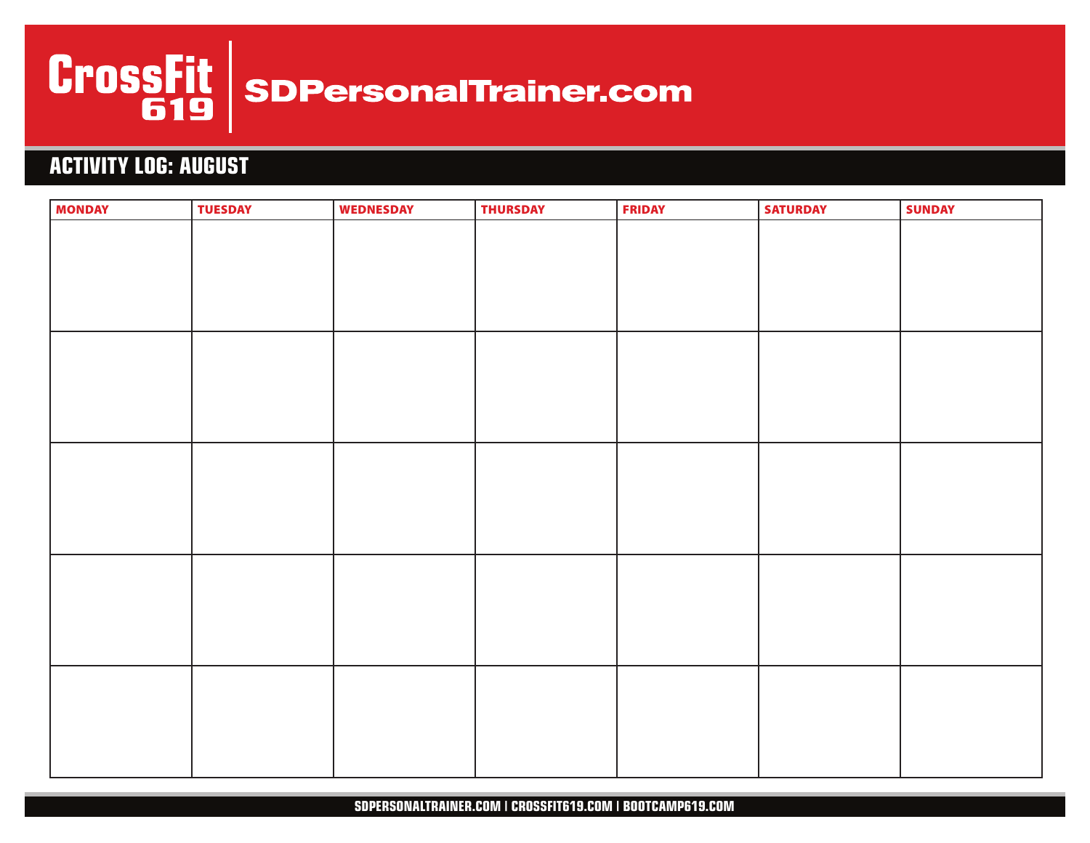

# **ACTIVITY LOG: AUGUST**

| <b>MONDAY</b> | <b>TUESDAY</b> | <b>WEDNESDAY</b> | <b>THURSDAY</b> | <b>FRIDAY</b> | <b>SATURDAY</b> | <b>SUNDAY</b> |
|---------------|----------------|------------------|-----------------|---------------|-----------------|---------------|
|               |                |                  |                 |               |                 |               |
|               |                |                  |                 |               |                 |               |
|               |                |                  |                 |               |                 |               |
|               |                |                  |                 |               |                 |               |
|               |                |                  |                 |               |                 |               |
|               |                |                  |                 |               |                 |               |
|               |                |                  |                 |               |                 |               |
|               |                |                  |                 |               |                 |               |
|               |                |                  |                 |               |                 |               |
|               |                |                  |                 |               |                 |               |
|               |                |                  |                 |               |                 |               |
|               |                |                  |                 |               |                 |               |
|               |                |                  |                 |               |                 |               |
|               |                |                  |                 |               |                 |               |
|               |                |                  |                 |               |                 |               |
|               |                |                  |                 |               |                 |               |
|               |                |                  |                 |               |                 |               |
|               |                |                  |                 |               |                 |               |
|               |                |                  |                 |               |                 |               |
|               |                |                  |                 |               |                 |               |
|               |                |                  |                 |               |                 |               |
|               |                |                  |                 |               |                 |               |
|               |                |                  |                 |               |                 |               |
|               |                |                  |                 |               |                 |               |
|               |                |                  |                 |               |                 |               |
|               |                |                  |                 |               |                 |               |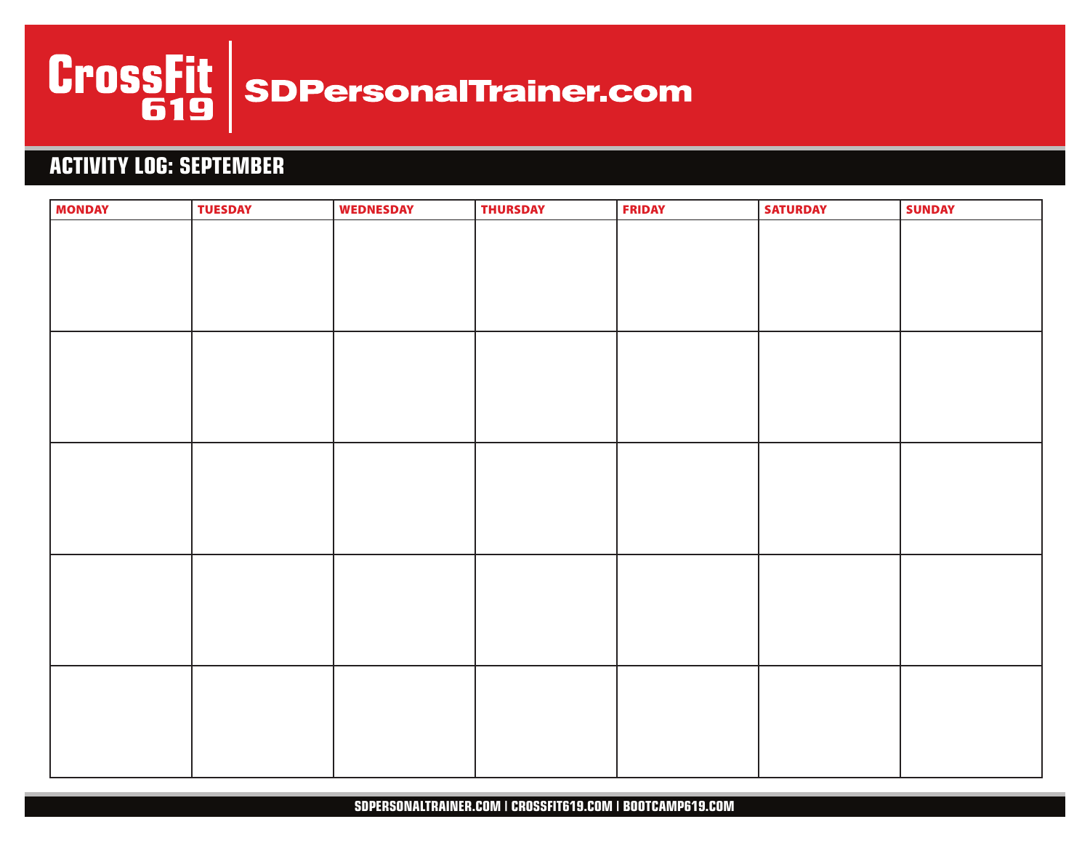

# **ACTIVITY LOG: SEPTEMBER**

| <b>MONDAY</b> | <b>TUESDAY</b> | <b>WEDNESDAY</b> | <b>THURSDAY</b> | <b>FRIDAY</b> | <b>SATURDAY</b> | <b>SUNDAY</b> |
|---------------|----------------|------------------|-----------------|---------------|-----------------|---------------|
|               |                |                  |                 |               |                 |               |
|               |                |                  |                 |               |                 |               |
|               |                |                  |                 |               |                 |               |
|               |                |                  |                 |               |                 |               |
|               |                |                  |                 |               |                 |               |
|               |                |                  |                 |               |                 |               |
|               |                |                  |                 |               |                 |               |
|               |                |                  |                 |               |                 |               |
|               |                |                  |                 |               |                 |               |
|               |                |                  |                 |               |                 |               |
|               |                |                  |                 |               |                 |               |
|               |                |                  |                 |               |                 |               |
|               |                |                  |                 |               |                 |               |
|               |                |                  |                 |               |                 |               |
|               |                |                  |                 |               |                 |               |
|               |                |                  |                 |               |                 |               |
|               |                |                  |                 |               |                 |               |
|               |                |                  |                 |               |                 |               |
|               |                |                  |                 |               |                 |               |
|               |                |                  |                 |               |                 |               |
|               |                |                  |                 |               |                 |               |
|               |                |                  |                 |               |                 |               |
|               |                |                  |                 |               |                 |               |
|               |                |                  |                 |               |                 |               |
|               |                |                  |                 |               |                 |               |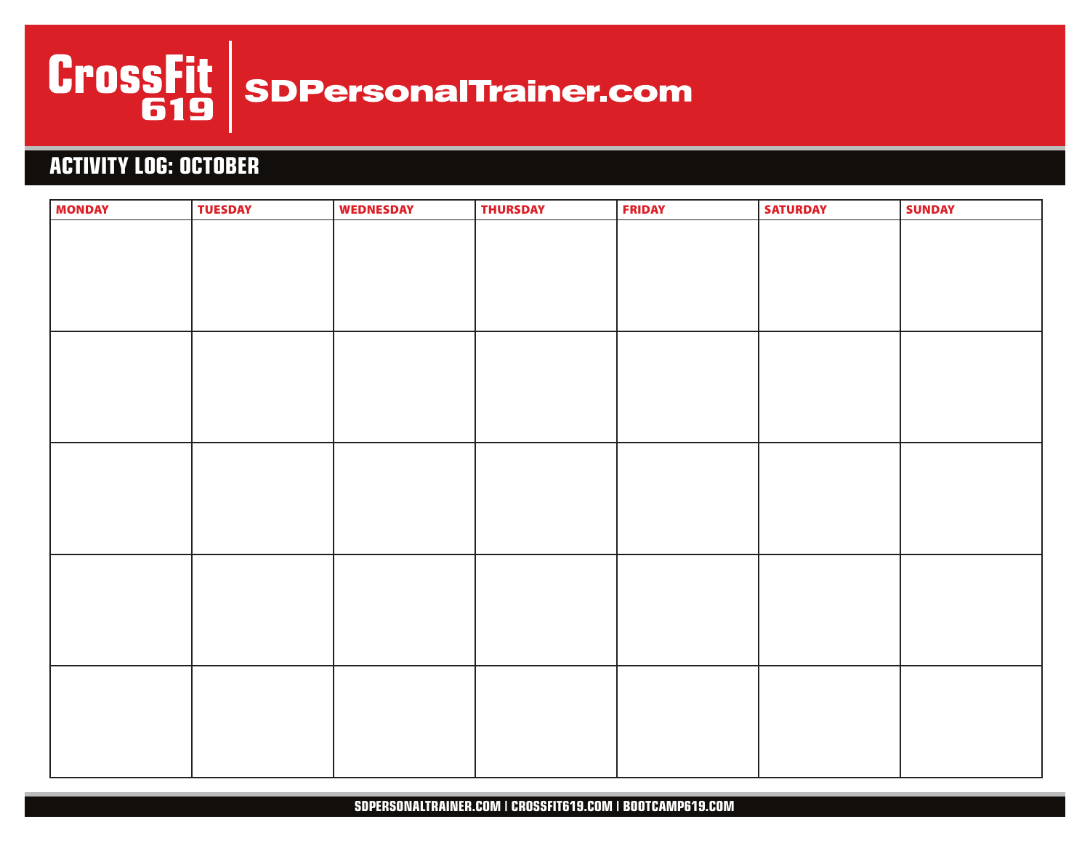

# **ACTIVITY LOG: OCTOBER**

| <b>MONDAY</b> | <b>TUESDAY</b> | <b>WEDNESDAY</b> | <b>THURSDAY</b> | <b>FRIDAY</b> | <b>SATURDAY</b> | <b>SUNDAY</b> |
|---------------|----------------|------------------|-----------------|---------------|-----------------|---------------|
|               |                |                  |                 |               |                 |               |
|               |                |                  |                 |               |                 |               |
|               |                |                  |                 |               |                 |               |
|               |                |                  |                 |               |                 |               |
|               |                |                  |                 |               |                 |               |
|               |                |                  |                 |               |                 |               |
|               |                |                  |                 |               |                 |               |
|               |                |                  |                 |               |                 |               |
|               |                |                  |                 |               |                 |               |
|               |                |                  |                 |               |                 |               |
|               |                |                  |                 |               |                 |               |
|               |                |                  |                 |               |                 |               |
|               |                |                  |                 |               |                 |               |
|               |                |                  |                 |               |                 |               |
|               |                |                  |                 |               |                 |               |
|               |                |                  |                 |               |                 |               |
|               |                |                  |                 |               |                 |               |
|               |                |                  |                 |               |                 |               |
|               |                |                  |                 |               |                 |               |
|               |                |                  |                 |               |                 |               |
|               |                |                  |                 |               |                 |               |
|               |                |                  |                 |               |                 |               |
|               |                |                  |                 |               |                 |               |
|               |                |                  |                 |               |                 |               |
|               |                |                  |                 |               |                 |               |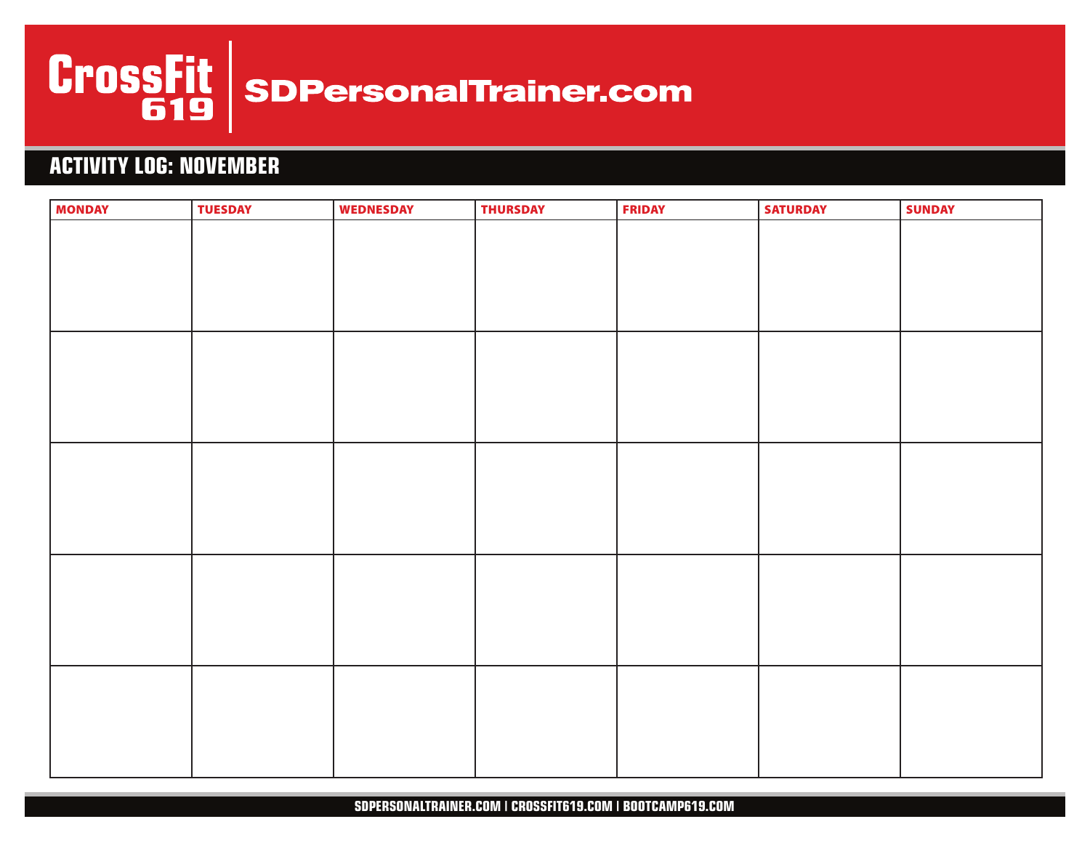

# **ACTIVITY LOG: NOVEMBER**

| <b>MONDAY</b> | <b>TUESDAY</b> | <b>WEDNESDAY</b> | <b>THURSDAY</b> | <b>FRIDAY</b> | <b>SATURDAY</b> | <b>SUNDAY</b> |
|---------------|----------------|------------------|-----------------|---------------|-----------------|---------------|
|               |                |                  |                 |               |                 |               |
|               |                |                  |                 |               |                 |               |
|               |                |                  |                 |               |                 |               |
|               |                |                  |                 |               |                 |               |
|               |                |                  |                 |               |                 |               |
|               |                |                  |                 |               |                 |               |
|               |                |                  |                 |               |                 |               |
|               |                |                  |                 |               |                 |               |
|               |                |                  |                 |               |                 |               |
|               |                |                  |                 |               |                 |               |
|               |                |                  |                 |               |                 |               |
|               |                |                  |                 |               |                 |               |
|               |                |                  |                 |               |                 |               |
|               |                |                  |                 |               |                 |               |
|               |                |                  |                 |               |                 |               |
|               |                |                  |                 |               |                 |               |
|               |                |                  |                 |               |                 |               |
|               |                |                  |                 |               |                 |               |
|               |                |                  |                 |               |                 |               |
|               |                |                  |                 |               |                 |               |
|               |                |                  |                 |               |                 |               |
|               |                |                  |                 |               |                 |               |
|               |                |                  |                 |               |                 |               |
|               |                |                  |                 |               |                 |               |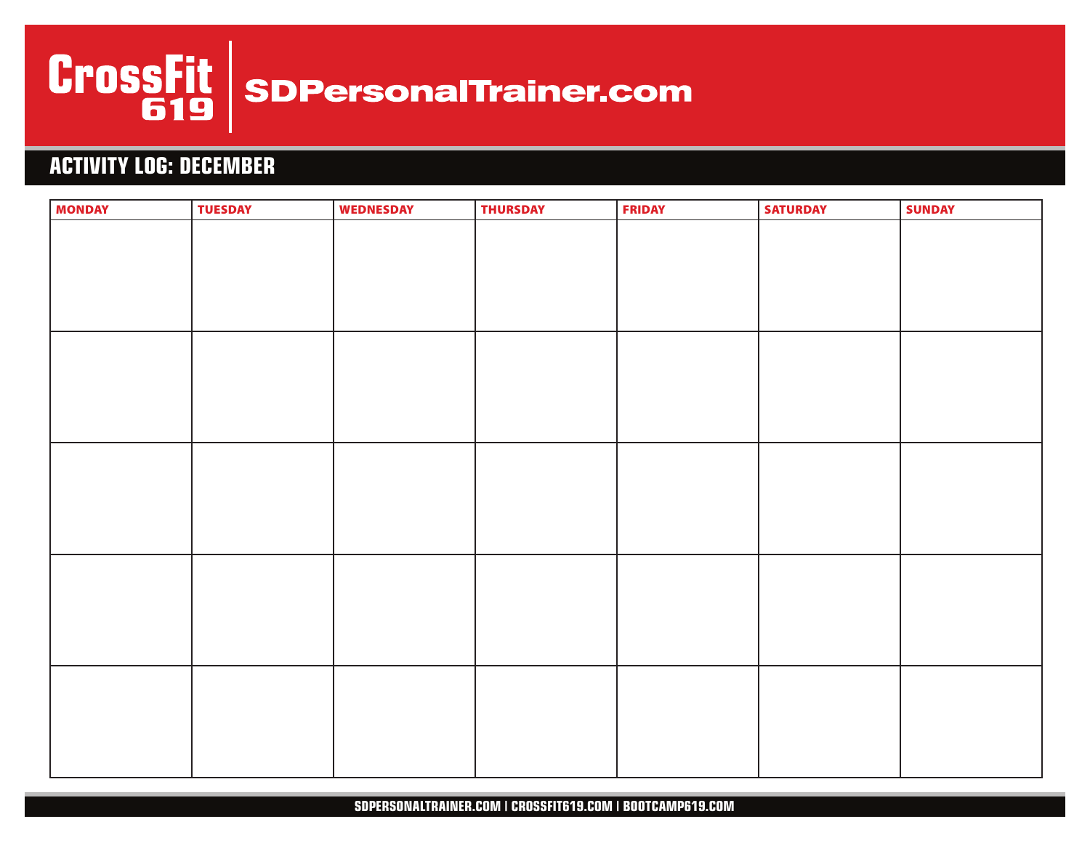

# **ACTIVITY LOG: DECEMBER**

| <b>MONDAY</b> | <b>TUESDAY</b> | <b>WEDNESDAY</b> | <b>THURSDAY</b> | <b>FRIDAY</b> | <b>SATURDAY</b> | <b>SUNDAY</b> |
|---------------|----------------|------------------|-----------------|---------------|-----------------|---------------|
|               |                |                  |                 |               |                 |               |
|               |                |                  |                 |               |                 |               |
|               |                |                  |                 |               |                 |               |
|               |                |                  |                 |               |                 |               |
|               |                |                  |                 |               |                 |               |
|               |                |                  |                 |               |                 |               |
|               |                |                  |                 |               |                 |               |
|               |                |                  |                 |               |                 |               |
|               |                |                  |                 |               |                 |               |
|               |                |                  |                 |               |                 |               |
|               |                |                  |                 |               |                 |               |
|               |                |                  |                 |               |                 |               |
|               |                |                  |                 |               |                 |               |
|               |                |                  |                 |               |                 |               |
|               |                |                  |                 |               |                 |               |
|               |                |                  |                 |               |                 |               |
|               |                |                  |                 |               |                 |               |
|               |                |                  |                 |               |                 |               |
|               |                |                  |                 |               |                 |               |
|               |                |                  |                 |               |                 |               |
|               |                |                  |                 |               |                 |               |
|               |                |                  |                 |               |                 |               |
|               |                |                  |                 |               |                 |               |
|               |                |                  |                 |               |                 |               |
|               |                |                  |                 |               |                 |               |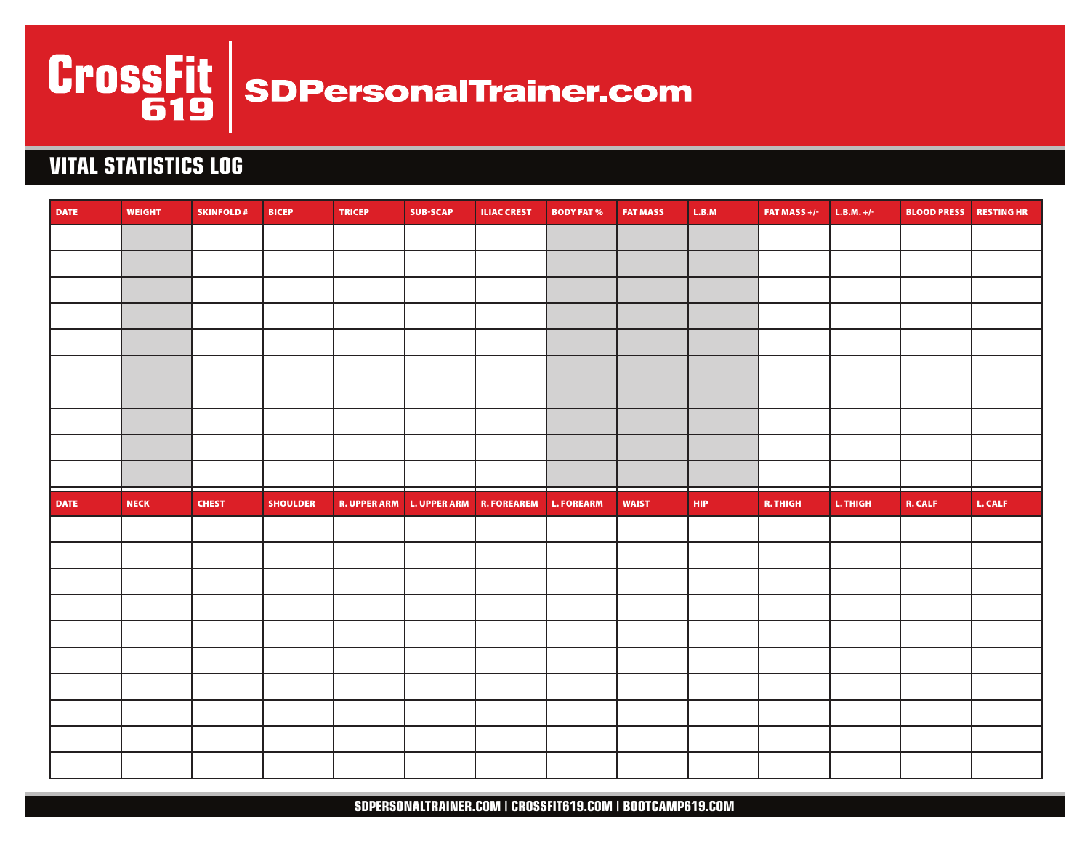

# **VITAL STATISTICS LOG**

| <b>DATE</b> | <b>WEIGHT</b> | <b>SKINFOLD#</b> | <b>BICEP</b>    | <b>TRICEP</b> | <b>SUB-SCAP</b> | <b>ILIAC CREST</b>                               | <b>BODY FAT %</b> | <b>FAT MASS</b> | $\mathsf{L}.\mathsf{B}.\mathsf{M}$ | FAT MASS $+/-$ | $L.B.M. +/-$ | <b>BLOOD PRESS RESTING HR</b> |         |
|-------------|---------------|------------------|-----------------|---------------|-----------------|--------------------------------------------------|-------------------|-----------------|------------------------------------|----------------|--------------|-------------------------------|---------|
|             |               |                  |                 |               |                 |                                                  |                   |                 |                                    |                |              |                               |         |
|             |               |                  |                 |               |                 |                                                  |                   |                 |                                    |                |              |                               |         |
|             |               |                  |                 |               |                 |                                                  |                   |                 |                                    |                |              |                               |         |
|             |               |                  |                 |               |                 |                                                  |                   |                 |                                    |                |              |                               |         |
|             |               |                  |                 |               |                 |                                                  |                   |                 |                                    |                |              |                               |         |
|             |               |                  |                 |               |                 |                                                  |                   |                 |                                    |                |              |                               |         |
|             |               |                  |                 |               |                 |                                                  |                   |                 |                                    |                |              |                               |         |
|             |               |                  |                 |               |                 |                                                  |                   |                 |                                    |                |              |                               |         |
|             |               |                  |                 |               |                 |                                                  |                   |                 |                                    |                |              |                               |         |
|             |               |                  |                 |               |                 |                                                  |                   |                 |                                    |                |              |                               |         |
|             |               |                  |                 |               |                 |                                                  |                   |                 |                                    |                |              |                               |         |
|             |               |                  |                 |               |                 |                                                  |                   |                 |                                    |                |              |                               |         |
| <b>DATE</b> | NECK          | <b>CHEST</b>     | <b>SHOULDER</b> |               |                 | R. UPPER ARM L. UPPER ARM R. FOREAREM L. FOREARM |                   | <b>WAIST</b>    | <b>HIP</b>                         | R. THIGH       | L. THIGH     | <b>R. CALF</b>                | L. CALF |
|             |               |                  |                 |               |                 |                                                  |                   |                 |                                    |                |              |                               |         |
|             |               |                  |                 |               |                 |                                                  |                   |                 |                                    |                |              |                               |         |
|             |               |                  |                 |               |                 |                                                  |                   |                 |                                    |                |              |                               |         |
|             |               |                  |                 |               |                 |                                                  |                   |                 |                                    |                |              |                               |         |
|             |               |                  |                 |               |                 |                                                  |                   |                 |                                    |                |              |                               |         |
|             |               |                  |                 |               |                 |                                                  |                   |                 |                                    |                |              |                               |         |
|             |               |                  |                 |               |                 |                                                  |                   |                 |                                    |                |              |                               |         |
|             |               |                  |                 |               |                 |                                                  |                   |                 |                                    |                |              |                               |         |
|             |               |                  |                 |               |                 |                                                  |                   |                 |                                    |                |              |                               |         |

SDPERSONALTRAINER.COM | CROSSFIT619.COM | BOOTCAMP619.COM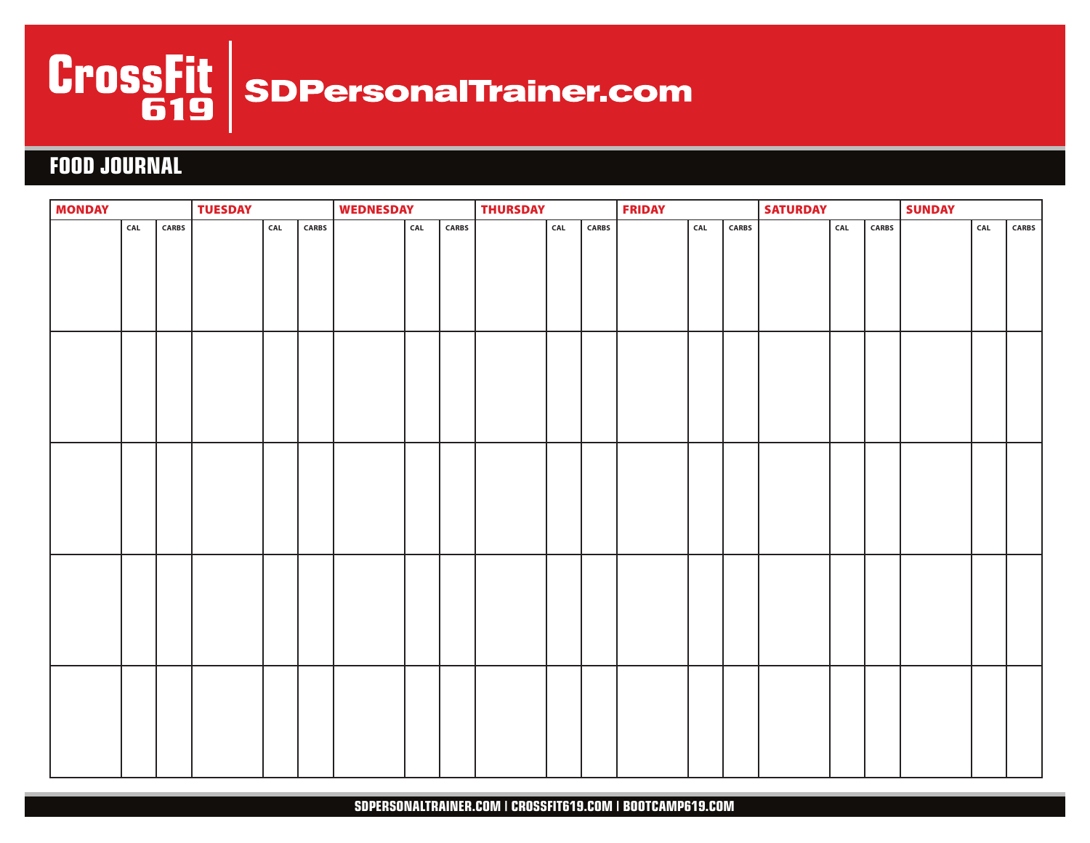

# **FOOD JOURNAL**

| <b>MONDAY</b> |     |       | <b>TUESDAY</b> |     |      | <b>WEDNESDAY</b> |                                    |              | <b>THURSDAY</b> |     |       | <b>FRIDAY</b> |     |               | <b>SATURDAY</b> | <b>SUNDAY</b> |              |  |                                    |              |  |
|---------------|-----|-------|----------------|-----|------|------------------|------------------------------------|--------------|-----------------|-----|-------|---------------|-----|---------------|-----------------|---------------|--------------|--|------------------------------------|--------------|--|
|               | CAL | CARBS |                | CAL | CARS |                  | $\ensuremath{\mathsf{CAL}}\xspace$ | <b>CARBS</b> |                 | CAL | CARBS |               | CAL | ${\sf CARBS}$ |                 | CAL           | <b>CARBS</b> |  | $\ensuremath{\mathsf{CAL}}\xspace$ | <b>CARBS</b> |  |
|               |     |       |                |     |      |                  |                                    |              |                 |     |       |               |     |               |                 |               |              |  |                                    |              |  |
|               |     |       |                |     |      |                  |                                    |              |                 |     |       |               |     |               |                 |               |              |  |                                    |              |  |
|               |     |       |                |     |      |                  |                                    |              |                 |     |       |               |     |               |                 |               |              |  |                                    |              |  |
|               |     |       |                |     |      |                  |                                    |              |                 |     |       |               |     |               |                 |               |              |  |                                    |              |  |
|               |     |       |                |     |      |                  |                                    |              |                 |     |       |               |     |               |                 |               |              |  |                                    |              |  |
|               |     |       |                |     |      |                  |                                    |              |                 |     |       |               |     |               |                 |               |              |  |                                    |              |  |
|               |     |       |                |     |      |                  |                                    |              |                 |     |       |               |     |               |                 |               |              |  |                                    |              |  |
|               |     |       |                |     |      |                  |                                    |              |                 |     |       |               |     |               |                 |               |              |  |                                    |              |  |
|               |     |       |                |     |      |                  |                                    |              |                 |     |       |               |     |               |                 |               |              |  |                                    |              |  |
|               |     |       |                |     |      |                  |                                    |              |                 |     |       |               |     |               |                 |               |              |  |                                    |              |  |
|               |     |       |                |     |      |                  |                                    |              |                 |     |       |               |     |               |                 |               |              |  |                                    |              |  |
|               |     |       |                |     |      |                  |                                    |              |                 |     |       |               |     |               |                 |               |              |  |                                    |              |  |
|               |     |       |                |     |      |                  |                                    |              |                 |     |       |               |     |               |                 |               |              |  |                                    |              |  |
|               |     |       |                |     |      |                  |                                    |              |                 |     |       |               |     |               |                 |               |              |  |                                    |              |  |
|               |     |       |                |     |      |                  |                                    |              |                 |     |       |               |     |               |                 |               |              |  |                                    |              |  |
|               |     |       |                |     |      |                  |                                    |              |                 |     |       |               |     |               |                 |               |              |  |                                    |              |  |
|               |     |       |                |     |      |                  |                                    |              |                 |     |       |               |     |               |                 |               |              |  |                                    |              |  |
|               |     |       |                |     |      |                  |                                    |              |                 |     |       |               |     |               |                 |               |              |  |                                    |              |  |
|               |     |       |                |     |      |                  |                                    |              |                 |     |       |               |     |               |                 |               |              |  |                                    |              |  |
|               |     |       |                |     |      |                  |                                    |              |                 |     |       |               |     |               |                 |               |              |  |                                    |              |  |
|               |     |       |                |     |      |                  |                                    |              |                 |     |       |               |     |               |                 |               |              |  |                                    |              |  |
|               |     |       |                |     |      |                  |                                    |              |                 |     |       |               |     |               |                 |               |              |  |                                    |              |  |
|               |     |       |                |     |      |                  |                                    |              |                 |     |       |               |     |               |                 |               |              |  |                                    |              |  |
|               |     |       |                |     |      |                  |                                    |              |                 |     |       |               |     |               |                 |               |              |  |                                    |              |  |
|               |     |       |                |     |      |                  |                                    |              |                 |     |       |               |     |               |                 |               |              |  |                                    |              |  |
|               |     |       |                |     |      |                  |                                    |              |                 |     |       |               |     |               |                 |               |              |  |                                    |              |  |
|               |     |       |                |     |      |                  |                                    |              |                 |     |       |               |     |               |                 |               |              |  |                                    |              |  |
|               |     |       |                |     |      |                  |                                    |              |                 |     |       |               |     |               |                 |               |              |  |                                    |              |  |
|               |     |       |                |     |      |                  |                                    |              |                 |     |       |               |     |               |                 |               |              |  |                                    |              |  |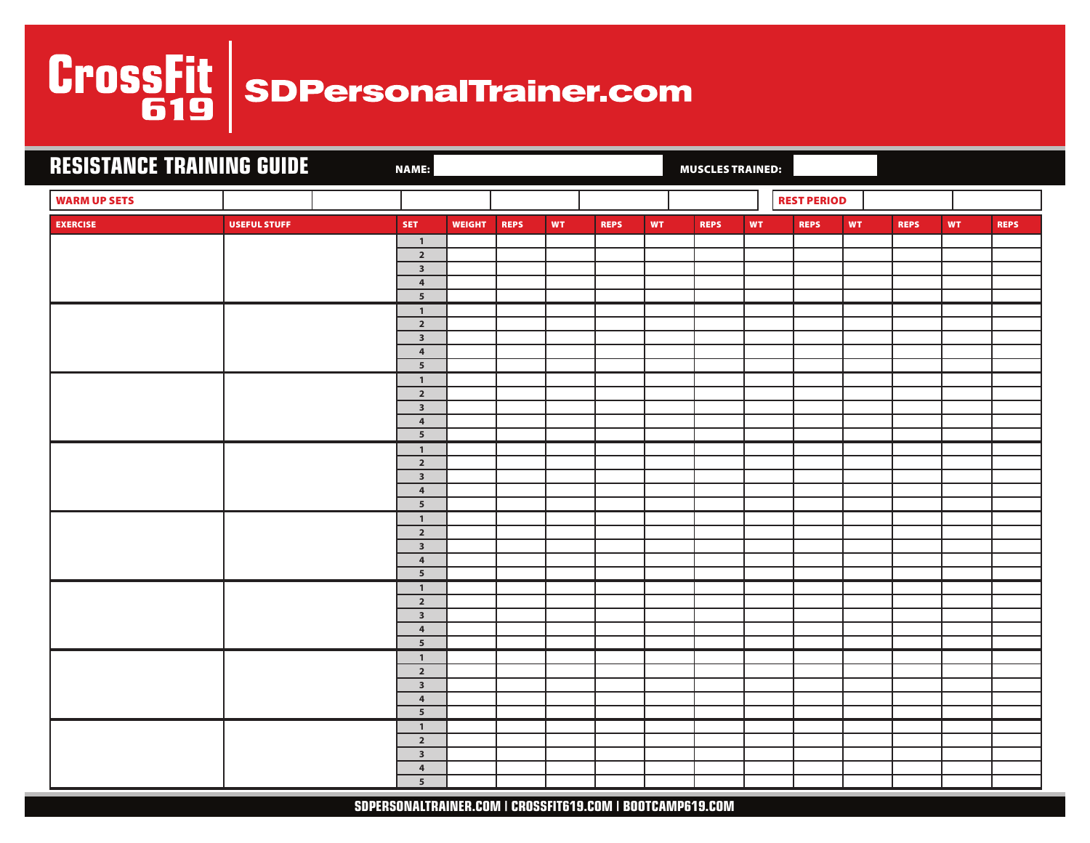# CrossFit | spPersonalTrainer.com

| <b>RESISTANCE TRAINING GUIDE</b> |                     | <b>NAME:</b>                            |               |             |           |             |           | <b>MUSCLES TRAINED:</b> |           |                    |    |             |           |             |
|----------------------------------|---------------------|-----------------------------------------|---------------|-------------|-----------|-------------|-----------|-------------------------|-----------|--------------------|----|-------------|-----------|-------------|
| <b>WARM UP SETS</b>              |                     |                                         |               |             |           |             |           |                         |           | <b>REST PERIOD</b> |    |             |           |             |
| <b>EXERCISE</b>                  | <b>USEFUL STUFF</b> | <b>SET</b>                              | <b>WEIGHT</b> | <b>REPS</b> | <b>WT</b> | <b>REPS</b> | <b>WT</b> | <b>REPS</b>             | <b>WT</b> | <b>REPS</b>        | WT | <b>REPS</b> | <b>WT</b> | <b>REPS</b> |
|                                  |                     | $\overline{1}$                          |               |             |           |             |           |                         |           |                    |    |             |           |             |
|                                  |                     | $\mathbf{2}$<br>$\overline{\mathbf{3}}$ |               |             |           |             |           |                         |           |                    |    |             |           |             |
|                                  |                     | $\boldsymbol{4}$                        |               |             |           |             |           |                         |           |                    |    |             |           |             |
|                                  |                     | $\overline{5}$                          |               |             |           |             |           |                         |           |                    |    |             |           |             |
|                                  |                     | $\mathbf{1}$                            |               |             |           |             |           |                         |           |                    |    |             |           |             |
|                                  |                     | $\mathbf{2}$                            |               |             |           |             |           |                         |           |                    |    |             |           |             |
|                                  |                     | $\overline{\mathbf{3}}$                 |               |             |           |             |           |                         |           |                    |    |             |           |             |
|                                  |                     | $\pmb{4}$                               |               |             |           |             |           |                         |           |                    |    |             |           |             |
|                                  |                     | $5\overline{5}$                         |               |             |           |             |           |                         |           |                    |    |             |           |             |
|                                  |                     | $\mathbf{1}$<br>$\overline{2}$          |               |             |           |             |           |                         |           |                    |    |             |           |             |
|                                  |                     | $\overline{\mathbf{3}}$                 |               |             |           |             |           |                         |           |                    |    |             |           |             |
|                                  |                     | $\overline{4}$                          |               |             |           |             |           |                         |           |                    |    |             |           |             |
|                                  |                     | $5\overline{5}$                         |               |             |           |             |           |                         |           |                    |    |             |           |             |
|                                  |                     | $\mathbf{1}$                            |               |             |           |             |           |                         |           |                    |    |             |           |             |
|                                  |                     | $\overline{2}$                          |               |             |           |             |           |                         |           |                    |    |             |           |             |
|                                  |                     | $\mathsf 3$                             |               |             |           |             |           |                         |           |                    |    |             |           |             |
|                                  |                     | $\overline{\mathbf{4}}$                 |               |             |           |             |           |                         |           |                    |    |             |           |             |
|                                  |                     | $5\phantom{.0}$                         |               |             |           |             |           |                         |           |                    |    |             |           |             |
|                                  |                     | $\mathbf{1}$<br>$\overline{2}$          |               |             |           |             |           |                         |           |                    |    |             |           |             |
|                                  |                     | $\overline{\mathbf{3}}$                 |               |             |           |             |           |                         |           |                    |    |             |           |             |
|                                  |                     | $\pmb{4}$                               |               |             |           |             |           |                         |           |                    |    |             |           |             |
|                                  |                     | $5\phantom{.0}$                         |               |             |           |             |           |                         |           |                    |    |             |           |             |
|                                  |                     | $\mathbf{1}$                            |               |             |           |             |           |                         |           |                    |    |             |           |             |
|                                  |                     | $\overline{2}$                          |               |             |           |             |           |                         |           |                    |    |             |           |             |
|                                  |                     | $\overline{\mathbf{3}}$                 |               |             |           |             |           |                         |           |                    |    |             |           |             |
|                                  |                     | $\overline{\mathbf{4}}$                 |               |             |           |             |           |                         |           |                    |    |             |           |             |
|                                  |                     | $\overline{5}$<br>$\mathbf{1}$          |               |             |           |             |           |                         |           |                    |    |             |           |             |
|                                  |                     | $\overline{2}$                          |               |             |           |             |           |                         |           |                    |    |             |           |             |
|                                  |                     | $\overline{\mathbf{3}}$                 |               |             |           |             |           |                         |           |                    |    |             |           |             |
|                                  |                     | $\overline{4}$                          |               |             |           |             |           |                         |           |                    |    |             |           |             |
|                                  |                     | $5\overline{5}$                         |               |             |           |             |           |                         |           |                    |    |             |           |             |
|                                  |                     | $\overline{1}$                          |               |             |           |             |           |                         |           |                    |    |             |           |             |
|                                  |                     | $\mathbf{2}$                            |               |             |           |             |           |                         |           |                    |    |             |           |             |
|                                  |                     | $\overline{\mathbf{3}}$                 |               |             |           |             |           |                         |           |                    |    |             |           |             |
|                                  |                     | $\overline{\mathbf{4}}$                 |               |             |           |             |           |                         |           |                    |    |             |           |             |
|                                  |                     | ${\bf 5}$                               |               |             |           |             |           |                         |           |                    |    |             |           |             |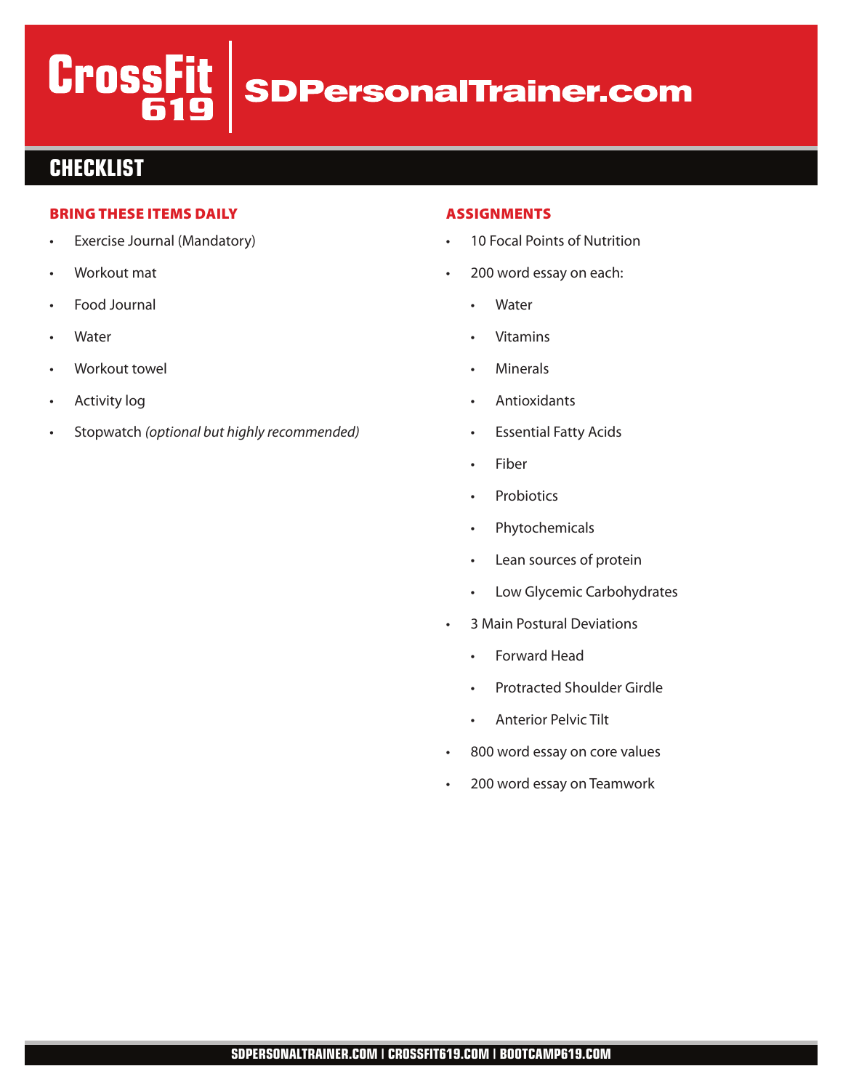# **CrossFit SDPersonalTrainer.com**

### **CHECKLIST**

#### BRING THESE ITEMS DAILY

- Exercise Journal (Mandatory)
- Workout mat
- Food Journal
- **Water**
- Workout towel
- **Activity log**
- Stopwatch (optional but highly recommended)

#### ASSIGNMENTS

- 10 Focal Points of Nutrition
- 200 word essay on each:
	- **Water**
	- **Vitamins**
	- **Minerals**
	- **Antioxidants**
	- **Essential Fatty Acids**
	- **Fiber**
	- Probiotics
	- Phytochemicals
	- Lean sources of protein
	- Low Glycemic Carbohydrates
- 3 Main Postural Deviations
	- Forward Head
	- Protracted Shoulder Girdle
	- Anterior Pelvic Tilt
- 800 word essay on core values
- 200 word essay on Teamwork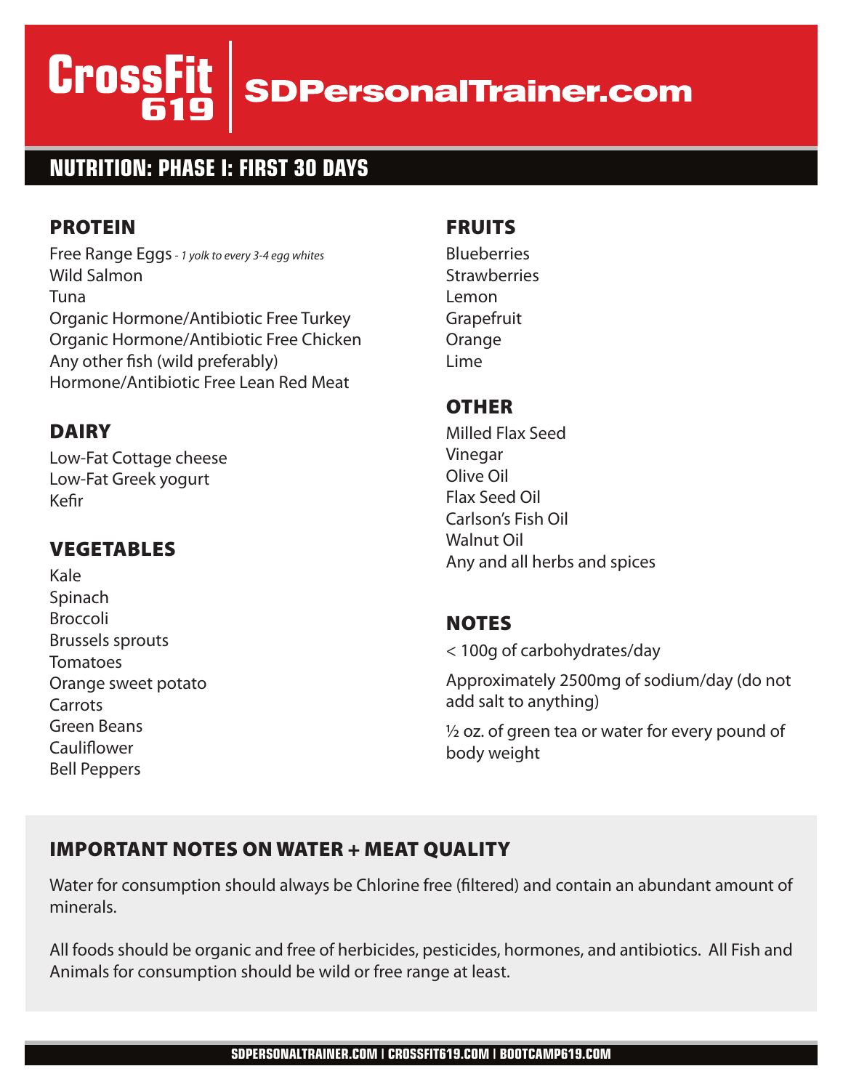# **CrossFi SDPersonalTrainer.com**

# **NUTRITION: PHASE I: FIRST 30 DAYS**

## PROTEIN

Free Range Eggs- 1 yolk to every 3-4 egg whites Wild Salmon Tuna Organic Hormone/Antibiotic Free Turkey Organic Hormone/Antibiotic Free Chicken Any other fish (wild preferably) Hormone/Antibiotic Free Lean Red Meat

## DAIRY

Low-Fat Cottage cheese Low-Fat Greek yogurt Kefir

# VEGETABLES

Kale Spinach Broccoli Brussels sprouts **Tomatoes** Orange sweet potato Carrots Green Beans Cauliflower Bell Peppers

#### FRUITS

**Blueberries Strawberries** Lemon **Grapefruit Orange** Lime

#### **OTHER**

Milled Flax Seed Vinegar Olive Oil Flax Seed Oil Carlson's Fish Oil Walnut Oil Any and all herbs and spices

#### **NOTES**

< 100g of carbohydrates/day

Approximately 2500mg of sodium/day (do not add salt to anything)

 $\frac{1}{2}$  oz. of green tea or water for every pound of body weight

### IMPORTANT NOTES ON WATER + MEAT QUALITY

Water for consumption should always be Chlorine free (filtered) and contain an abundant amount of minerals.

All foods should be organic and free of herbicides, pesticides, hormones, and antibiotics. All Fish and Animals for consumption should be wild or free range at least.